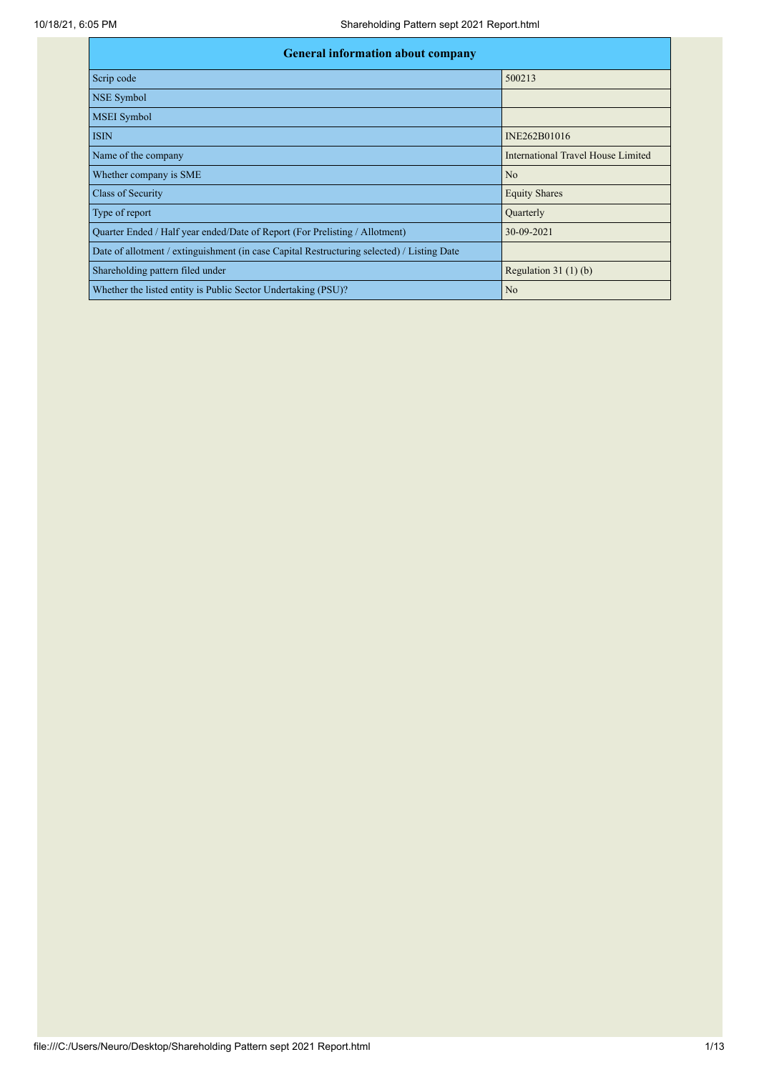| <b>General information about company</b>                                                   |                                    |  |  |  |  |  |  |
|--------------------------------------------------------------------------------------------|------------------------------------|--|--|--|--|--|--|
| Scrip code                                                                                 | 500213                             |  |  |  |  |  |  |
| NSE Symbol                                                                                 |                                    |  |  |  |  |  |  |
| <b>MSEI</b> Symbol                                                                         |                                    |  |  |  |  |  |  |
| <b>ISIN</b>                                                                                | INE262B01016                       |  |  |  |  |  |  |
| Name of the company                                                                        | International Travel House Limited |  |  |  |  |  |  |
| Whether company is SME                                                                     | N <sub>o</sub>                     |  |  |  |  |  |  |
| Class of Security                                                                          | <b>Equity Shares</b>               |  |  |  |  |  |  |
| Type of report                                                                             | Quarterly                          |  |  |  |  |  |  |
| Quarter Ended / Half year ended/Date of Report (For Prelisting / Allotment)                | 30-09-2021                         |  |  |  |  |  |  |
| Date of allotment / extinguishment (in case Capital Restructuring selected) / Listing Date |                                    |  |  |  |  |  |  |
| Shareholding pattern filed under                                                           | Regulation $31(1)(b)$              |  |  |  |  |  |  |
| Whether the listed entity is Public Sector Undertaking (PSU)?                              | N <sub>o</sub>                     |  |  |  |  |  |  |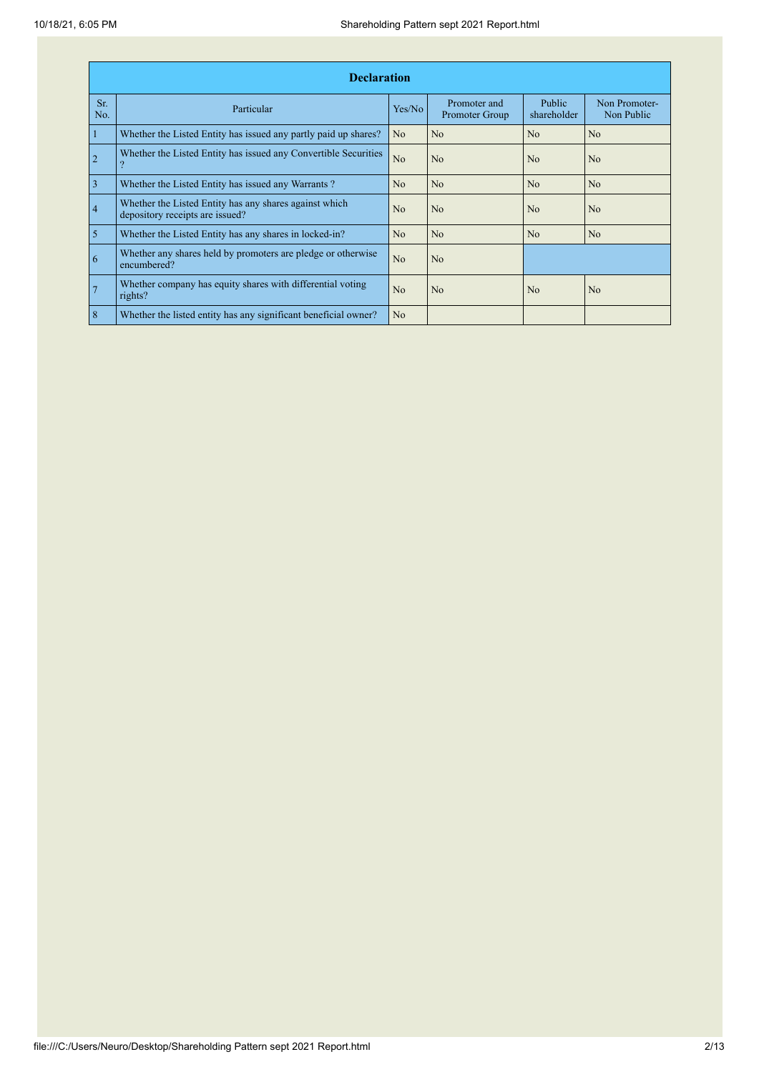|                | <b>Declaration</b>                                                                        |                |                                |                       |                             |
|----------------|-------------------------------------------------------------------------------------------|----------------|--------------------------------|-----------------------|-----------------------------|
| Sr.<br>No.     | Particular                                                                                | Yes/No         | Promoter and<br>Promoter Group | Public<br>shareholder | Non Promoter-<br>Non Public |
| $\mathbf{1}$   | Whether the Listed Entity has issued any partly paid up shares?                           | N <sub>o</sub> | No                             | N <sub>o</sub>        | N <sub>o</sub>              |
| $\overline{2}$ | Whether the Listed Entity has issued any Convertible Securities                           | N <sub>o</sub> | No                             | N <sub>o</sub>        | N <sub>o</sub>              |
| $\overline{3}$ | Whether the Listed Entity has issued any Warrants?                                        | N <sub>o</sub> | No                             | N <sub>o</sub>        | N <sub>o</sub>              |
| $\overline{4}$ | Whether the Listed Entity has any shares against which<br>depository receipts are issued? | N <sub>0</sub> | N <sub>0</sub>                 | N <sub>0</sub>        | N <sub>0</sub>              |
| $\overline{5}$ | Whether the Listed Entity has any shares in locked-in?                                    | N <sub>o</sub> | N <sub>o</sub>                 | N <sub>o</sub>        | N <sub>o</sub>              |
| 6              | Whether any shares held by promoters are pledge or otherwise<br>encumbered?               | N <sub>o</sub> | No                             |                       |                             |
| $\overline{7}$ | Whether company has equity shares with differential voting<br>rights?                     | N <sub>0</sub> | N <sub>0</sub>                 | N <sub>0</sub>        | No                          |
| $\mathbf{8}$   | Whether the listed entity has any significant beneficial owner?                           | N <sub>o</sub> |                                |                       |                             |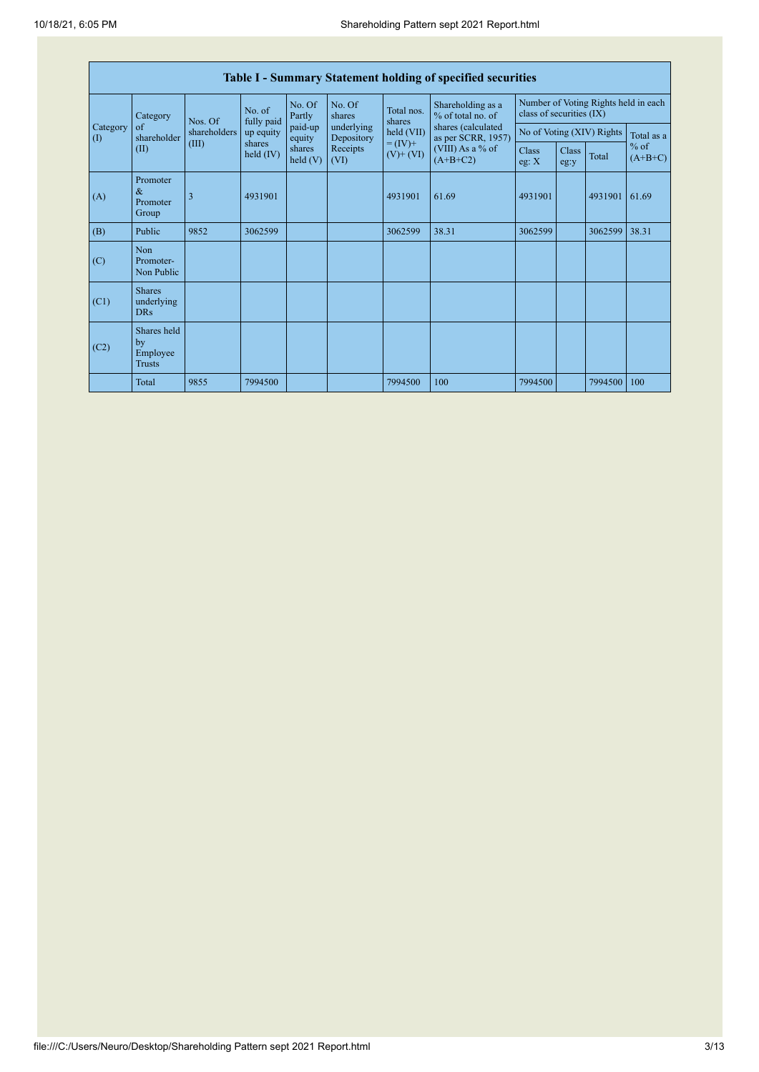| <b>Table I - Summary Statement holding of specified securities</b> |                                                |              |                       |                      |                          |                              |                                                                                    |                                                                  |               |         |                     |
|--------------------------------------------------------------------|------------------------------------------------|--------------|-----------------------|----------------------|--------------------------|------------------------------|------------------------------------------------------------------------------------|------------------------------------------------------------------|---------------|---------|---------------------|
|                                                                    | Category                                       | Nos. Of      | No. of<br>fully paid  | No. Of<br>Partly     | No. Of<br>shares         | Total nos.<br>shares         | Shareholding as a<br>% of total no. of<br>shares (calculated<br>as per SCRR, 1957) | Number of Voting Rights held in each<br>class of securities (IX) |               |         |                     |
| Category<br>$\left( \mathrm{I}\right)$                             | of<br>shareholder                              | shareholders | up equity             | paid-up<br>equity    | underlying<br>Depository | held (VII)                   |                                                                                    | No of Voting (XIV) Rights                                        |               |         | Total as a          |
|                                                                    | (II)                                           | (III)        | shares<br>held $(IV)$ | shares<br>held $(V)$ | Receipts<br>(VI)         | $= (IV) +$<br>$(V)$ + $(VI)$ | (VIII) As a % of<br>$(A+B+C2)$                                                     | Class<br>eg: X                                                   | Class<br>eg:y | Total   | $%$ of<br>$(A+B+C)$ |
| (A)                                                                | Promoter<br>$\&$<br>Promoter<br>Group          | 3            | 4931901               |                      |                          | 4931901                      | 61.69                                                                              | 4931901                                                          |               | 4931901 | 61.69               |
| (B)                                                                | Public                                         | 9852         | 3062599               |                      |                          | 3062599                      | 38.31                                                                              | 3062599                                                          |               | 3062599 | 38.31               |
| (C)                                                                | Non<br>Promoter-<br>Non Public                 |              |                       |                      |                          |                              |                                                                                    |                                                                  |               |         |                     |
| (C1)                                                               | <b>Shares</b><br>underlying<br><b>DRs</b>      |              |                       |                      |                          |                              |                                                                                    |                                                                  |               |         |                     |
| (C2)                                                               | Shares held<br>by<br>Employee<br><b>Trusts</b> |              |                       |                      |                          |                              |                                                                                    |                                                                  |               |         |                     |
|                                                                    | Total                                          | 9855         | 7994500               |                      |                          | 7994500                      | 100                                                                                | 7994500                                                          |               | 7994500 | 100                 |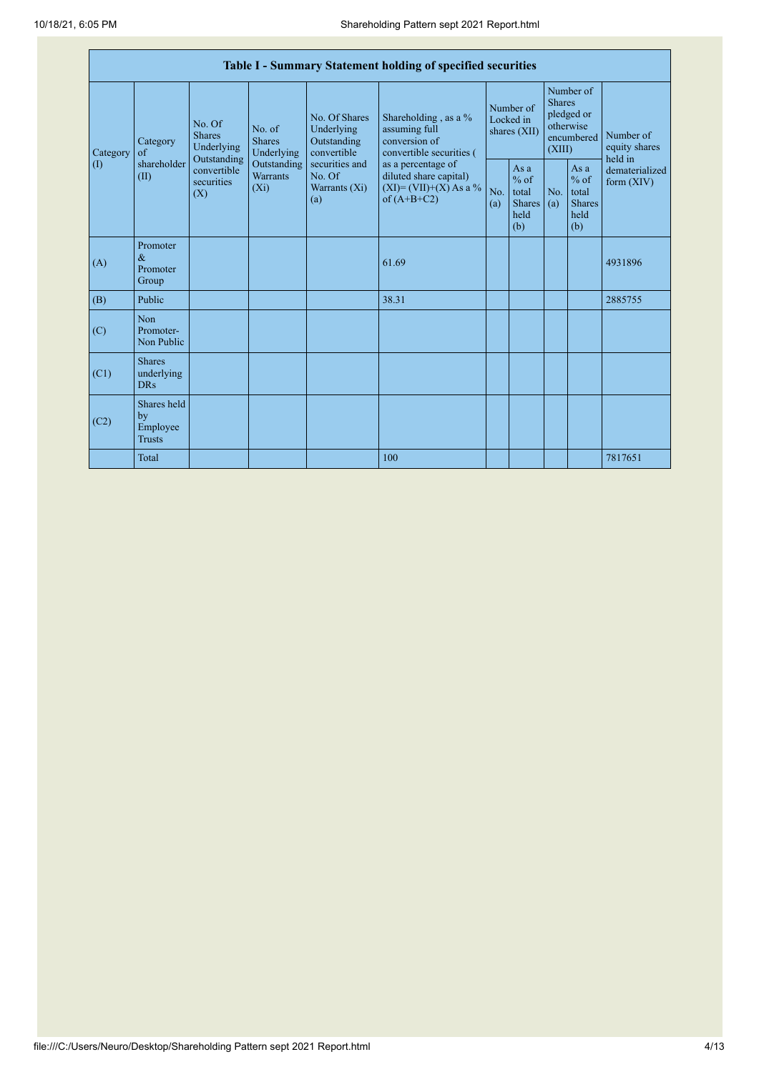|                 | Table I - Summary Statement holding of specified securities |                                          |                                           |                                                           |                                                                                            |                                        |                                                        |                                                                               |                                                         |                                       |
|-----------------|-------------------------------------------------------------|------------------------------------------|-------------------------------------------|-----------------------------------------------------------|--------------------------------------------------------------------------------------------|----------------------------------------|--------------------------------------------------------|-------------------------------------------------------------------------------|---------------------------------------------------------|---------------------------------------|
| Category<br>(1) | Category<br>of<br>shareholder<br>(II)<br>(X)                | No. Of<br><b>Shares</b><br>Underlying    |                                           | No. Of Shares<br>Underlying<br>Outstanding<br>convertible | Shareholding, as a %<br>assuming full<br>conversion of<br>convertible securities (         | Number of<br>Locked in<br>shares (XII) |                                                        | Number of<br><b>Shares</b><br>pledged or<br>otherwise<br>encumbered<br>(XIII) |                                                         | Number of<br>equity shares<br>held in |
|                 |                                                             | Outstanding<br>convertible<br>securities | Outstanding<br><b>Warrants</b><br>$(X_i)$ | securities and<br>No. Of<br>Warrants (Xi)<br>(a)          | as a percentage of<br>diluted share capital)<br>$(XI) = (VII)+(X) As a %$<br>of $(A+B+C2)$ | No.<br>(a)                             | Asa<br>$%$ of<br>total<br><b>Shares</b><br>held<br>(b) | No.<br>(a)                                                                    | As a<br>$%$ of<br>total<br><b>Shares</b><br>held<br>(b) | dematerialized<br>form $(XIV)$        |
| (A)             | Promoter<br>$\&$<br>Promoter<br>Group                       |                                          |                                           |                                                           | 61.69                                                                                      |                                        |                                                        |                                                                               |                                                         | 4931896                               |
| (B)             | Public                                                      |                                          |                                           |                                                           | 38.31                                                                                      |                                        |                                                        |                                                                               |                                                         | 2885755                               |
| (C)             | Non<br>Promoter-<br>Non Public                              |                                          |                                           |                                                           |                                                                                            |                                        |                                                        |                                                                               |                                                         |                                       |
| (C1)            | <b>Shares</b><br>underlying<br><b>DRs</b>                   |                                          |                                           |                                                           |                                                                                            |                                        |                                                        |                                                                               |                                                         |                                       |
| (C2)            | Shares held<br>by<br>Employee<br><b>Trusts</b>              |                                          |                                           |                                                           |                                                                                            |                                        |                                                        |                                                                               |                                                         |                                       |
|                 | Total                                                       |                                          |                                           |                                                           | 100                                                                                        |                                        |                                                        |                                                                               |                                                         | 7817651                               |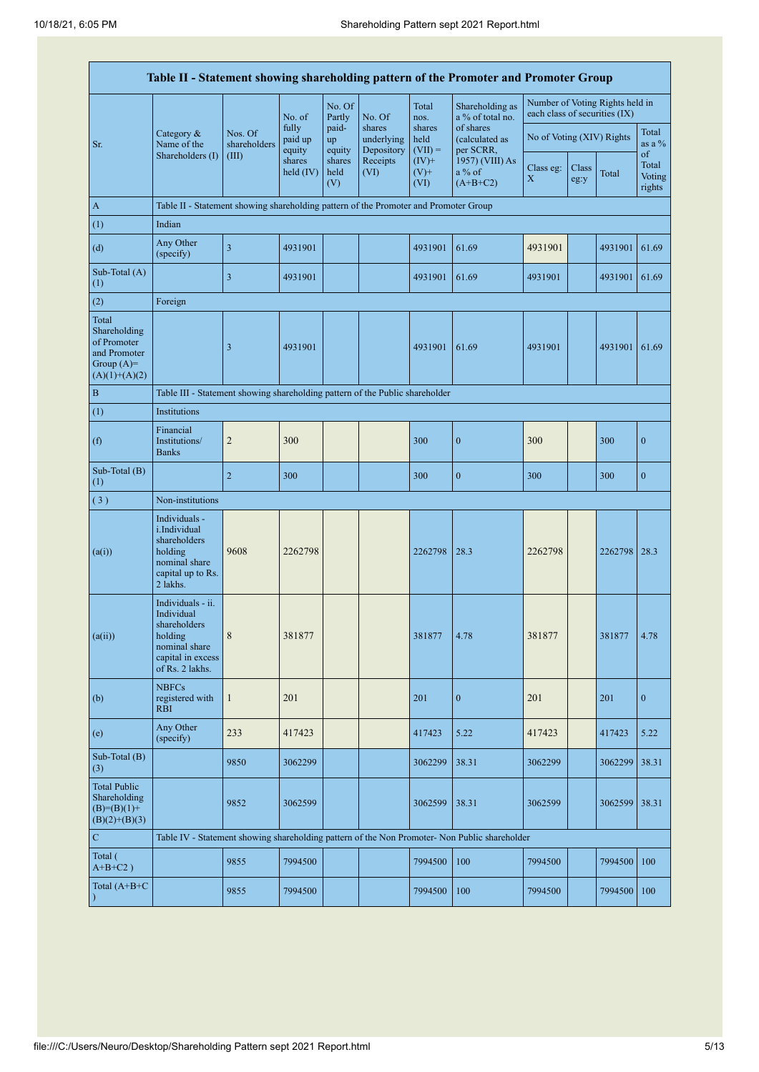|                                                                                         |                                                                                                                     |                         |                            |                       |                                    |                             | Table II - Statement showing shareholding pattern of the Promoter and Promoter Group          |                               |               |                                 |                           |
|-----------------------------------------------------------------------------------------|---------------------------------------------------------------------------------------------------------------------|-------------------------|----------------------------|-----------------------|------------------------------------|-----------------------------|-----------------------------------------------------------------------------------------------|-------------------------------|---------------|---------------------------------|---------------------------|
|                                                                                         |                                                                                                                     |                         | No. of                     | No. Of<br>Partly      | No. Of                             | Total<br>nos.               | Shareholding as<br>a % of total no.                                                           | each class of securities (IX) |               | Number of Voting Rights held in |                           |
| Sr.                                                                                     | Category $\&$<br>Name of the                                                                                        | Nos. Of<br>shareholders | fully<br>paid up<br>equity | paid-<br>up<br>equity | shares<br>underlying<br>Depository | shares<br>held<br>$(VII) =$ | of shares<br>(calculated as<br>per SCRR,                                                      | No of Voting (XIV) Rights     |               |                                 | Total<br>as a $\%$<br>of  |
|                                                                                         | Shareholders (I)                                                                                                    | (III)                   | shares<br>held $(IV)$      | shares<br>held<br>(V) | Receipts<br>(VI)                   | $(IV)+$<br>$(V)$ +<br>(VI)  | 1957) (VIII) As<br>a % of<br>$(A+B+C2)$                                                       | Class eg:<br>$\mathbf X$      | Class<br>eg:y | Total                           | Total<br>Voting<br>rights |
| A                                                                                       | Table II - Statement showing shareholding pattern of the Promoter and Promoter Group                                |                         |                            |                       |                                    |                             |                                                                                               |                               |               |                                 |                           |
| (1)                                                                                     | Indian                                                                                                              |                         |                            |                       |                                    |                             |                                                                                               |                               |               |                                 |                           |
| (d)                                                                                     | Any Other<br>(specify)                                                                                              | $\overline{\mathbf{3}}$ | 4931901                    |                       |                                    | 4931901                     | 61.69                                                                                         | 4931901                       |               | 4931901                         | 61.69                     |
| Sub-Total (A)<br>(1)                                                                    |                                                                                                                     | 3                       | 4931901                    |                       |                                    | 4931901                     | 61.69                                                                                         | 4931901                       |               | 4931901                         | 61.69                     |
| (2)                                                                                     | Foreign                                                                                                             |                         |                            |                       |                                    |                             |                                                                                               |                               |               |                                 |                           |
| Total<br>Shareholding<br>of Promoter<br>and Promoter<br>Group $(A)=$<br>$(A)(1)+(A)(2)$ |                                                                                                                     | 3                       | 4931901                    |                       |                                    | 4931901                     | 61.69                                                                                         | 4931901                       |               | 4931901                         | 61.69                     |
| $\, {\bf B}$                                                                            | Table III - Statement showing shareholding pattern of the Public shareholder                                        |                         |                            |                       |                                    |                             |                                                                                               |                               |               |                                 |                           |
| (1)                                                                                     | Institutions                                                                                                        |                         |                            |                       |                                    |                             |                                                                                               |                               |               |                                 |                           |
| (f)                                                                                     | Financial<br>Institutions/<br><b>Banks</b>                                                                          | $\overline{c}$          | 300                        |                       |                                    | 300                         | $\boldsymbol{0}$                                                                              | 300                           |               | 300                             | $\mathbf{0}$              |
| Sub-Total (B)<br>(1)                                                                    |                                                                                                                     | $\sqrt{2}$              | 300                        |                       |                                    | 300                         | $\boldsymbol{0}$                                                                              | 300                           |               | 300                             | $\boldsymbol{0}$          |
| (3)                                                                                     | Non-institutions                                                                                                    |                         |                            |                       |                                    |                             |                                                                                               |                               |               |                                 |                           |
| (a(i))                                                                                  | Individuals -<br>i.Individual<br>shareholders<br>holding<br>nominal share<br>capital up to Rs.<br>2 lakhs.          | 9608                    | 2262798                    |                       |                                    | 2262798                     | 28.3                                                                                          | 2262798                       |               | 2262798 28.3                    |                           |
| (a(ii))                                                                                 | Individuals - ii.<br>Individual<br>shareholders<br>holding<br>nominal share<br>capital in excess<br>of Rs. 2 lakhs. | $\,8$                   | 381877                     |                       |                                    | 381877                      | 4.78                                                                                          | 381877                        |               | 381877                          | 4.78                      |
| (b)                                                                                     | <b>NBFCs</b><br>registered with<br><b>RBI</b>                                                                       | $\mathbf{1}$            | 201                        |                       |                                    | 201                         | $\mathbf{0}$                                                                                  | 201                           |               | 201                             | $\mathbf{0}$              |
| (e)                                                                                     | Any Other<br>(specify)                                                                                              | 233                     | 417423                     |                       |                                    | 417423                      | 5.22                                                                                          | 417423                        |               | 417423                          | 5.22                      |
| Sub-Total (B)<br>(3)                                                                    |                                                                                                                     | 9850                    | 3062299                    |                       |                                    | 3062299                     | 38.31                                                                                         | 3062299                       |               | 3062299                         | 38.31                     |
| <b>Total Public</b><br>Shareholding<br>$(B)= (B)(1) +$<br>$(B)(2)+(B)(3)$               |                                                                                                                     | 9852                    | 3062599                    |                       |                                    | 3062599                     | 38.31                                                                                         | 3062599                       |               | 3062599                         | 38.31                     |
| ${\bf C}$                                                                               |                                                                                                                     |                         |                            |                       |                                    |                             | Table IV - Statement showing shareholding pattern of the Non Promoter- Non Public shareholder |                               |               |                                 |                           |
| Total (<br>$A+B+C2$ )                                                                   |                                                                                                                     | 9855                    | 7994500                    |                       |                                    | 7994500                     | 100                                                                                           | 7994500                       |               | 7994500                         | 100                       |
| Total $(A+B+C)$<br>$\mathcal{E}$                                                        |                                                                                                                     | 9855                    | 7994500                    |                       |                                    | 7994500                     | 100                                                                                           | 7994500                       |               | 7994500                         | 100                       |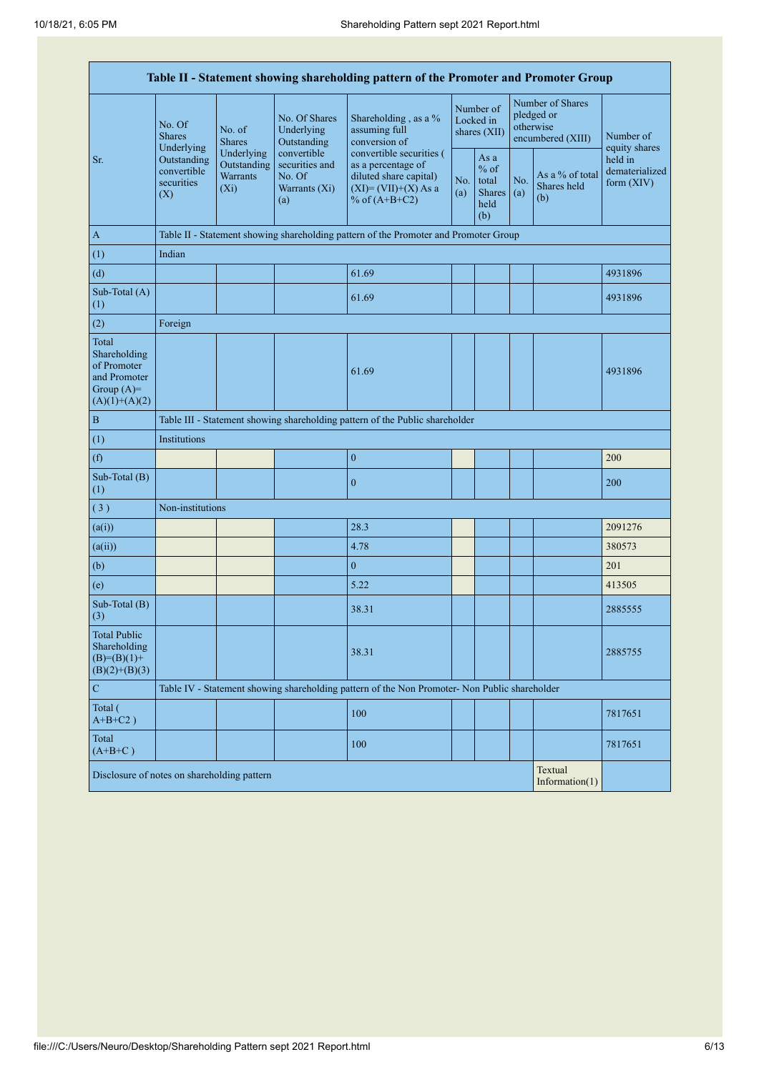| Table II - Statement showing shareholding pattern of the Promoter and Promoter Group    |                                                                                                     |                                                                              |                                                                 |                                                                                                                        |                                        |                                                         |                                                                  |                                       |                                         |  |
|-----------------------------------------------------------------------------------------|-----------------------------------------------------------------------------------------------------|------------------------------------------------------------------------------|-----------------------------------------------------------------|------------------------------------------------------------------------------------------------------------------------|----------------------------------------|---------------------------------------------------------|------------------------------------------------------------------|---------------------------------------|-----------------------------------------|--|
|                                                                                         | No. Of<br><b>Shares</b><br>Underlying                                                               | No. of<br><b>Shares</b>                                                      | No. Of Shares<br>Underlying<br>Outstanding                      | Shareholding, as a %<br>assuming full<br>conversion of                                                                 | Number of<br>Locked in<br>shares (XII) |                                                         | Number of Shares<br>pledged or<br>otherwise<br>encumbered (XIII) |                                       | Number of<br>equity shares              |  |
| Sr.                                                                                     | Underlying<br>Outstanding<br>Outstanding<br>convertible<br>Warrants<br>securities<br>$(X_i)$<br>(X) |                                                                              | convertible<br>securities and<br>No. Of<br>Warrants (Xi)<br>(a) | convertible securities (<br>as a percentage of<br>diluted share capital)<br>$(XI) = (VII)+(X) As a$<br>% of $(A+B+C2)$ | No.<br>(a)                             | As a<br>$%$ of<br>total<br><b>Shares</b><br>held<br>(b) | No.<br>(a)                                                       | As a % of total<br>Shares held<br>(b) | held in<br>dematerialized<br>form (XIV) |  |
| $\mathbf{A}$                                                                            |                                                                                                     |                                                                              |                                                                 | Table II - Statement showing shareholding pattern of the Promoter and Promoter Group                                   |                                        |                                                         |                                                                  |                                       |                                         |  |
| (1)                                                                                     | Indian                                                                                              |                                                                              |                                                                 |                                                                                                                        |                                        |                                                         |                                                                  |                                       |                                         |  |
| (d)                                                                                     |                                                                                                     |                                                                              |                                                                 | 61.69                                                                                                                  |                                        |                                                         |                                                                  |                                       | 4931896                                 |  |
| Sub-Total (A)<br>(1)                                                                    |                                                                                                     |                                                                              |                                                                 | 61.69                                                                                                                  |                                        |                                                         |                                                                  |                                       | 4931896                                 |  |
| (2)                                                                                     | Foreign                                                                                             |                                                                              |                                                                 |                                                                                                                        |                                        |                                                         |                                                                  |                                       |                                         |  |
| Total<br>Shareholding<br>of Promoter<br>and Promoter<br>Group $(A)=$<br>$(A)(1)+(A)(2)$ |                                                                                                     |                                                                              |                                                                 | 61.69                                                                                                                  |                                        |                                                         |                                                                  |                                       | 4931896                                 |  |
| $\, {\bf B}$                                                                            |                                                                                                     | Table III - Statement showing shareholding pattern of the Public shareholder |                                                                 |                                                                                                                        |                                        |                                                         |                                                                  |                                       |                                         |  |
| (1)                                                                                     | Institutions                                                                                        |                                                                              |                                                                 |                                                                                                                        |                                        |                                                         |                                                                  |                                       |                                         |  |
| (f)                                                                                     |                                                                                                     |                                                                              |                                                                 | $\boldsymbol{0}$                                                                                                       |                                        |                                                         |                                                                  |                                       | 200                                     |  |
| Sub-Total (B)<br>(1)                                                                    |                                                                                                     |                                                                              |                                                                 | $\boldsymbol{0}$                                                                                                       |                                        |                                                         |                                                                  |                                       | 200                                     |  |
| (3)                                                                                     | Non-institutions                                                                                    |                                                                              |                                                                 |                                                                                                                        |                                        |                                                         |                                                                  |                                       |                                         |  |
| (a(i))                                                                                  |                                                                                                     |                                                                              |                                                                 | 28.3                                                                                                                   |                                        |                                                         |                                                                  |                                       | 2091276                                 |  |
| (a(ii))                                                                                 |                                                                                                     |                                                                              |                                                                 | 4.78                                                                                                                   |                                        |                                                         |                                                                  |                                       | 380573                                  |  |
| (b)                                                                                     |                                                                                                     |                                                                              |                                                                 | $\boldsymbol{0}$                                                                                                       |                                        |                                                         |                                                                  |                                       | 201                                     |  |
| (e)                                                                                     |                                                                                                     |                                                                              |                                                                 | 5.22                                                                                                                   |                                        |                                                         |                                                                  |                                       | 413505                                  |  |
| Sub-Total (B)<br>(3)                                                                    |                                                                                                     |                                                                              |                                                                 | 38.31                                                                                                                  |                                        |                                                         |                                                                  |                                       | 2885555                                 |  |
| <b>Total Public</b><br>Shareholding<br>$(B)= (B)(1) +$<br>$(B)(2)+(B)(3)$               |                                                                                                     |                                                                              |                                                                 | 38.31                                                                                                                  |                                        |                                                         |                                                                  |                                       | 2885755                                 |  |
| ${\bf C}$                                                                               |                                                                                                     |                                                                              |                                                                 | Table IV - Statement showing shareholding pattern of the Non Promoter- Non Public shareholder                          |                                        |                                                         |                                                                  |                                       |                                         |  |
| Total (<br>$A+B+C2$ )                                                                   |                                                                                                     |                                                                              |                                                                 | 100                                                                                                                    |                                        |                                                         |                                                                  |                                       | 7817651                                 |  |
| Total<br>$(A+B+C)$                                                                      |                                                                                                     |                                                                              |                                                                 | 100                                                                                                                    |                                        |                                                         |                                                                  |                                       | 7817651                                 |  |
| Textual<br>Disclosure of notes on shareholding pattern<br>Information $(1)$             |                                                                                                     |                                                                              |                                                                 |                                                                                                                        |                                        |                                                         |                                                                  |                                       |                                         |  |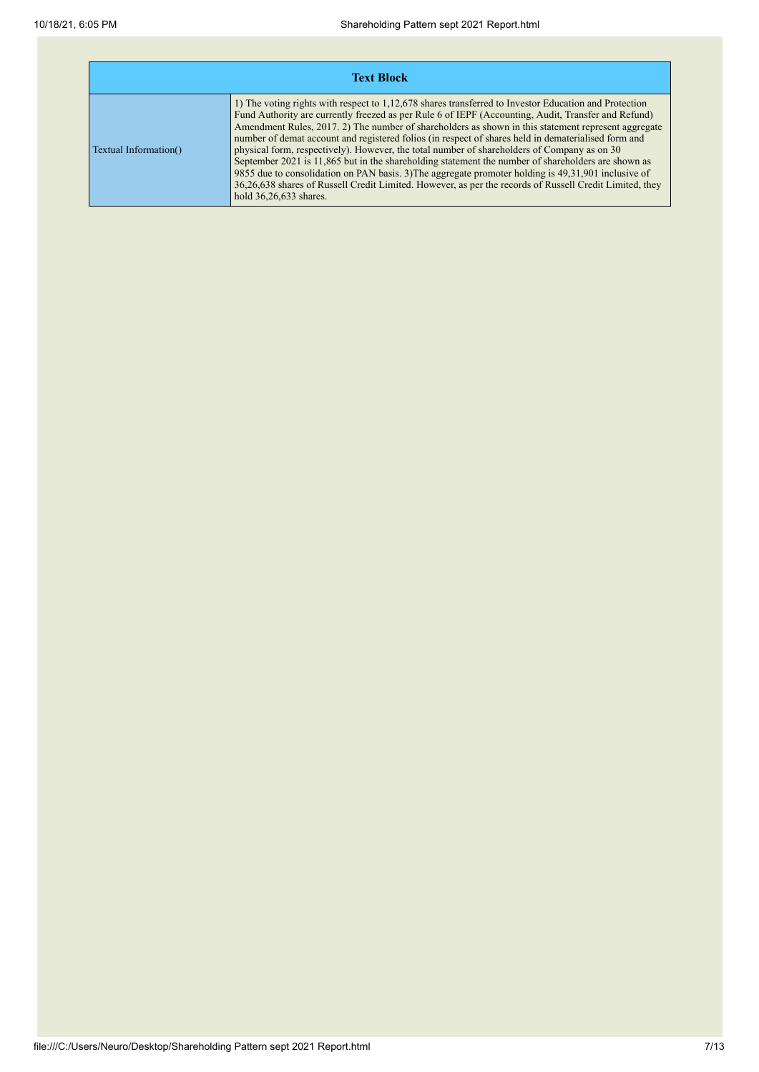| <b>Text Block</b>     |                                                                                                                                                                                                                                                                                                                                                                                                                                                                                                                                                                                                                                                                                                                                                                                                                                                                             |  |  |  |  |  |
|-----------------------|-----------------------------------------------------------------------------------------------------------------------------------------------------------------------------------------------------------------------------------------------------------------------------------------------------------------------------------------------------------------------------------------------------------------------------------------------------------------------------------------------------------------------------------------------------------------------------------------------------------------------------------------------------------------------------------------------------------------------------------------------------------------------------------------------------------------------------------------------------------------------------|--|--|--|--|--|
| Textual Information() | 1) The voting rights with respect to 1,12,678 shares transferred to Investor Education and Protection<br>Fund Authority are currently freezed as per Rule 6 of IEPF (Accounting, Audit, Transfer and Refund)<br>Amendment Rules, 2017. 2) The number of shareholders as shown in this statement represent aggregate<br>number of demat account and registered folios (in respect of shares held in dematerialised form and<br>physical form, respectively). However, the total number of shareholders of Company as on 30<br>September 2021 is 11,865 but in the shareholding statement the number of shareholders are shown as<br>9855 due to consolidation on PAN basis. 3) The aggregate promoter holding is 49,31,901 inclusive of<br>36,26,638 shares of Russell Credit Limited. However, as per the records of Russell Credit Limited, they<br>hold 36,26,633 shares. |  |  |  |  |  |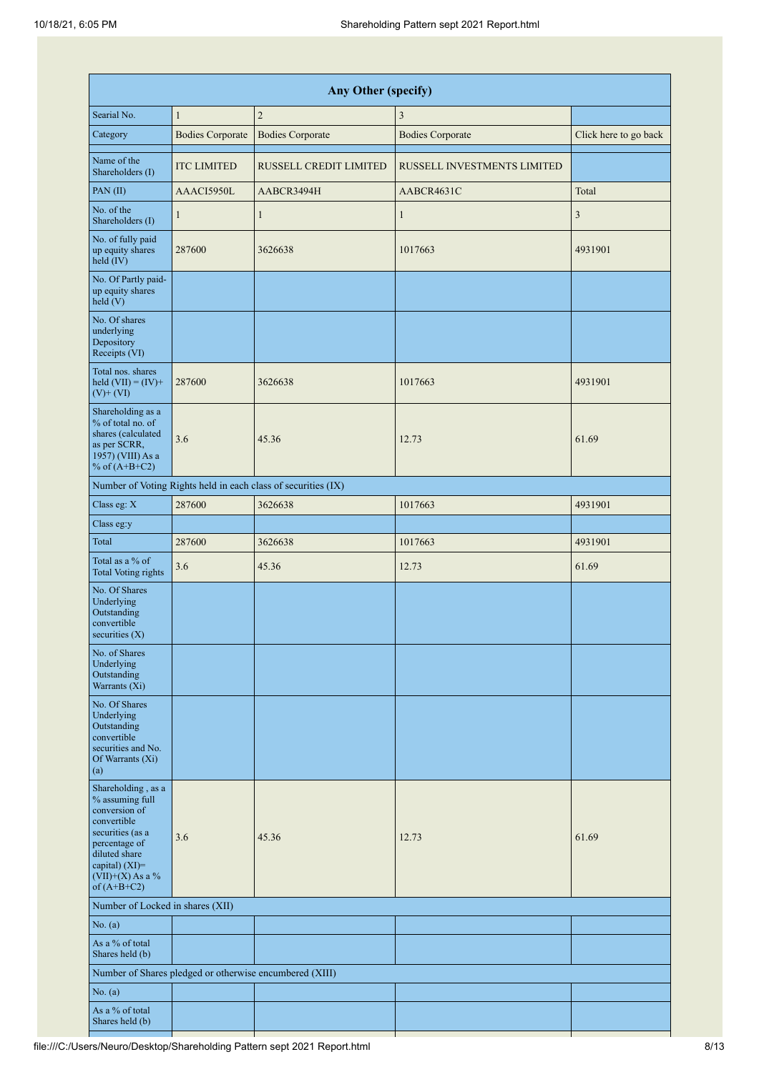|                                                                                                                                                                                         | Any Other (specify)     |                                                               |                             |                       |  |  |  |  |  |  |  |
|-----------------------------------------------------------------------------------------------------------------------------------------------------------------------------------------|-------------------------|---------------------------------------------------------------|-----------------------------|-----------------------|--|--|--|--|--|--|--|
| Searial No.                                                                                                                                                                             | $\mathbf{1}$            | $\overline{c}$                                                | 3                           |                       |  |  |  |  |  |  |  |
| Category                                                                                                                                                                                | <b>Bodies Corporate</b> | <b>Bodies Corporate</b>                                       | <b>Bodies Corporate</b>     | Click here to go back |  |  |  |  |  |  |  |
| Name of the<br>Shareholders (I)                                                                                                                                                         | <b>ITC LIMITED</b>      | RUSSELL CREDIT LIMITED                                        | RUSSELL INVESTMENTS LIMITED |                       |  |  |  |  |  |  |  |
| PAN(II)                                                                                                                                                                                 | AAACI5950L              | AABCR3494H                                                    | AABCR4631C                  | Total                 |  |  |  |  |  |  |  |
| No. of the<br>Shareholders (I)                                                                                                                                                          | 1                       | $\mathbf{1}$                                                  | $\mathbf{1}$                | 3                     |  |  |  |  |  |  |  |
| No. of fully paid<br>up equity shares<br>held (IV)                                                                                                                                      | 287600                  | 3626638                                                       | 1017663                     | 4931901               |  |  |  |  |  |  |  |
| No. Of Partly paid-<br>up equity shares<br>held(V)                                                                                                                                      |                         |                                                               |                             |                       |  |  |  |  |  |  |  |
| No. Of shares<br>underlying<br>Depository<br>Receipts (VI)                                                                                                                              |                         |                                                               |                             |                       |  |  |  |  |  |  |  |
| Total nos. shares<br>held $(VII) = (IV) +$<br>$(V)$ + $(VI)$                                                                                                                            | 287600                  | 3626638                                                       | 1017663                     | 4931901               |  |  |  |  |  |  |  |
| Shareholding as a<br>% of total no. of<br>shares (calculated<br>as per SCRR,<br>1957) (VIII) As a<br>% of $(A+B+C2)$                                                                    | 3.6                     | 45.36                                                         | 12.73                       | 61.69                 |  |  |  |  |  |  |  |
|                                                                                                                                                                                         |                         | Number of Voting Rights held in each class of securities (IX) |                             |                       |  |  |  |  |  |  |  |
| Class eg: X                                                                                                                                                                             | 287600                  | 3626638                                                       | 1017663                     | 4931901               |  |  |  |  |  |  |  |
| Class eg:y                                                                                                                                                                              |                         |                                                               |                             |                       |  |  |  |  |  |  |  |
| Total                                                                                                                                                                                   | 287600                  | 3626638                                                       | 1017663                     | 4931901               |  |  |  |  |  |  |  |
| Total as a % of<br><b>Total Voting rights</b>                                                                                                                                           | 3.6                     | 45.36                                                         | 12.73                       | 61.69                 |  |  |  |  |  |  |  |
| No. Of Shares<br>Underlying<br>Outstanding<br>convertible<br>securities $(X)$                                                                                                           |                         |                                                               |                             |                       |  |  |  |  |  |  |  |
| No. of Shares<br>Underlying<br>Outstanding<br>Warrants (Xi)                                                                                                                             |                         |                                                               |                             |                       |  |  |  |  |  |  |  |
| No. Of Shares<br>Underlying<br>Outstanding<br>convertible<br>securities and No.<br>Of Warrants (Xi)<br>(a)                                                                              |                         |                                                               |                             |                       |  |  |  |  |  |  |  |
| Shareholding, as a<br>% assuming full<br>conversion of<br>convertible<br>securities (as a<br>percentage of<br>diluted share<br>capital) $(XI)$ =<br>$(VII)+(X)$ As a %<br>of $(A+B+C2)$ | 3.6                     | 45.36                                                         | 12.73                       | 61.69                 |  |  |  |  |  |  |  |
| Number of Locked in shares (XII)                                                                                                                                                        |                         |                                                               |                             |                       |  |  |  |  |  |  |  |
| No. (a)                                                                                                                                                                                 |                         |                                                               |                             |                       |  |  |  |  |  |  |  |
| As a % of total<br>Shares held (b)                                                                                                                                                      |                         |                                                               |                             |                       |  |  |  |  |  |  |  |
|                                                                                                                                                                                         |                         | Number of Shares pledged or otherwise encumbered (XIII)       |                             |                       |  |  |  |  |  |  |  |
| No. (a)                                                                                                                                                                                 |                         |                                                               |                             |                       |  |  |  |  |  |  |  |
| As a % of total<br>Shares held (b)                                                                                                                                                      |                         |                                                               |                             |                       |  |  |  |  |  |  |  |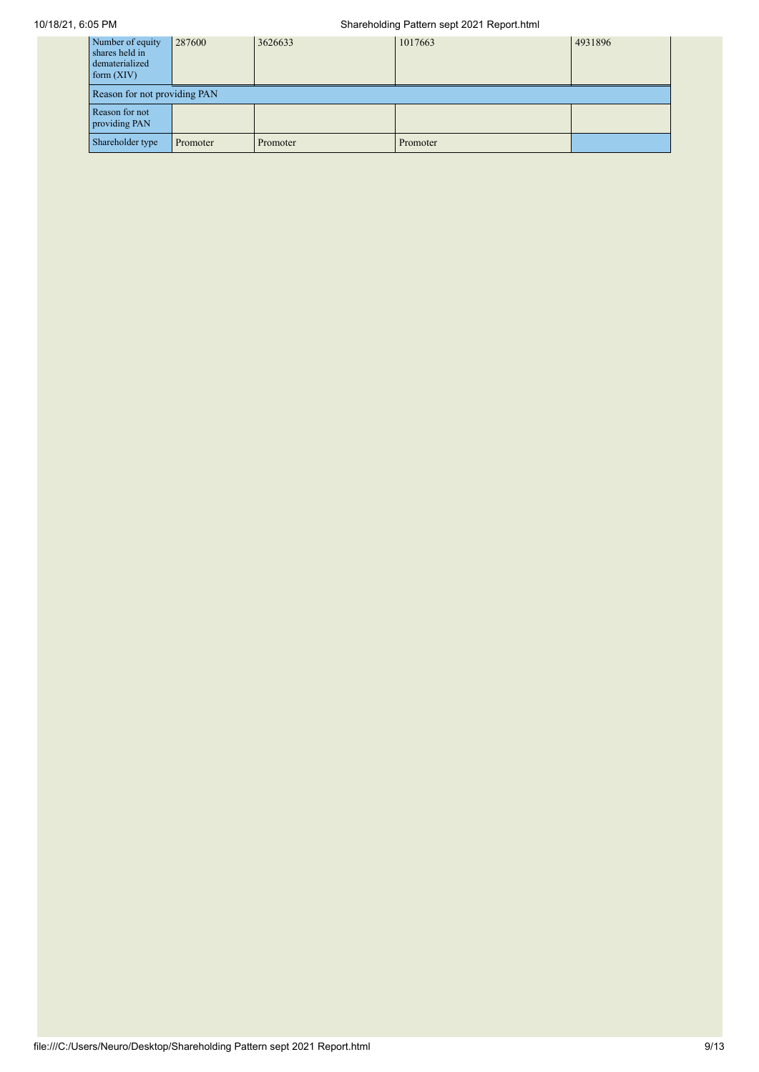## 10/18/21, 6:05 PM Shareholding Pattern sept 2021 Report.html

| Number of equity<br>shares held in<br>dematerialized<br>form $(XIV)$ | 287600                       | 3626633  | 1017663  | 4931896 |  |  |  |  |  |  |
|----------------------------------------------------------------------|------------------------------|----------|----------|---------|--|--|--|--|--|--|
|                                                                      | Reason for not providing PAN |          |          |         |  |  |  |  |  |  |
| Reason for not<br>providing PAN                                      |                              |          |          |         |  |  |  |  |  |  |
| Shareholder type                                                     | Promoter                     | Promoter | Promoter |         |  |  |  |  |  |  |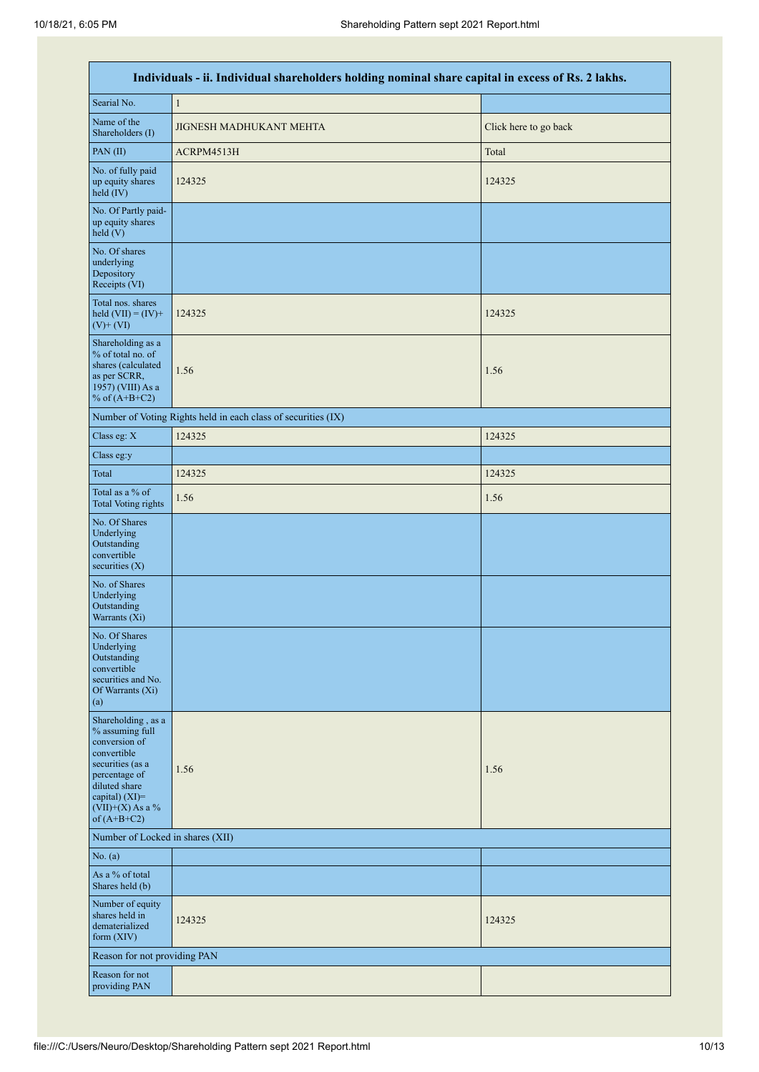|                                                                                                                                                                                         | Individuals - ii. Individual shareholders holding nominal share capital in excess of Rs. 2 lakhs. |                       |  |  |  |  |  |  |  |  |
|-----------------------------------------------------------------------------------------------------------------------------------------------------------------------------------------|---------------------------------------------------------------------------------------------------|-----------------------|--|--|--|--|--|--|--|--|
| Searial No.                                                                                                                                                                             | $\mathbf{1}$                                                                                      |                       |  |  |  |  |  |  |  |  |
| Name of the<br>Shareholders (I)                                                                                                                                                         | JIGNESH MADHUKANT MEHTA                                                                           | Click here to go back |  |  |  |  |  |  |  |  |
| PAN(II)                                                                                                                                                                                 | ACRPM4513H                                                                                        | Total                 |  |  |  |  |  |  |  |  |
| No. of fully paid<br>up equity shares<br>held $(IV)$                                                                                                                                    | 124325                                                                                            | 124325                |  |  |  |  |  |  |  |  |
| No. Of Partly paid-<br>up equity shares<br>held (V)                                                                                                                                     |                                                                                                   |                       |  |  |  |  |  |  |  |  |
| No. Of shares<br>underlying<br>Depository<br>Receipts (VI)                                                                                                                              |                                                                                                   |                       |  |  |  |  |  |  |  |  |
| Total nos. shares<br>held $(VII) = (IV) +$<br>$(V)$ + $(VI)$                                                                                                                            | 124325                                                                                            | 124325                |  |  |  |  |  |  |  |  |
| Shareholding as a<br>% of total no. of<br>shares (calculated<br>as per SCRR,<br>1957) (VIII) As a<br>% of $(A+B+C2)$                                                                    | 1.56                                                                                              | 1.56                  |  |  |  |  |  |  |  |  |
|                                                                                                                                                                                         | Number of Voting Rights held in each class of securities (IX)                                     |                       |  |  |  |  |  |  |  |  |
| Class eg: X                                                                                                                                                                             | 124325                                                                                            | 124325                |  |  |  |  |  |  |  |  |
| Class eg:y                                                                                                                                                                              |                                                                                                   |                       |  |  |  |  |  |  |  |  |
| Total                                                                                                                                                                                   | 124325                                                                                            | 124325                |  |  |  |  |  |  |  |  |
| Total as a % of<br><b>Total Voting rights</b>                                                                                                                                           | 1.56                                                                                              | 1.56                  |  |  |  |  |  |  |  |  |
| No. Of Shares<br>Underlying<br>Outstanding<br>convertible<br>securities $(X)$                                                                                                           |                                                                                                   |                       |  |  |  |  |  |  |  |  |
| No. of Shares<br>Underlying<br>Outstanding<br>Warrants (Xi)                                                                                                                             |                                                                                                   |                       |  |  |  |  |  |  |  |  |
| No. Of Shares<br>Underlying<br>Outstanding<br>convertible<br>securities and No.<br>Of Warrants (Xi)<br>(a)                                                                              |                                                                                                   |                       |  |  |  |  |  |  |  |  |
| Shareholding, as a<br>% assuming full<br>conversion of<br>convertible<br>securities (as a<br>percentage of<br>diluted share<br>capital) $(XI)$ =<br>$(VII)+(X)$ As a %<br>of $(A+B+C2)$ | 1.56                                                                                              | 1.56                  |  |  |  |  |  |  |  |  |
| Number of Locked in shares (XII)                                                                                                                                                        |                                                                                                   |                       |  |  |  |  |  |  |  |  |
| No. (a)                                                                                                                                                                                 |                                                                                                   |                       |  |  |  |  |  |  |  |  |
| As a % of total<br>Shares held (b)                                                                                                                                                      |                                                                                                   |                       |  |  |  |  |  |  |  |  |
| Number of equity<br>shares held in<br>dematerialized<br>form $(XIV)$                                                                                                                    | 124325                                                                                            | 124325                |  |  |  |  |  |  |  |  |
| Reason for not providing PAN                                                                                                                                                            |                                                                                                   |                       |  |  |  |  |  |  |  |  |
| Reason for not<br>providing PAN                                                                                                                                                         |                                                                                                   |                       |  |  |  |  |  |  |  |  |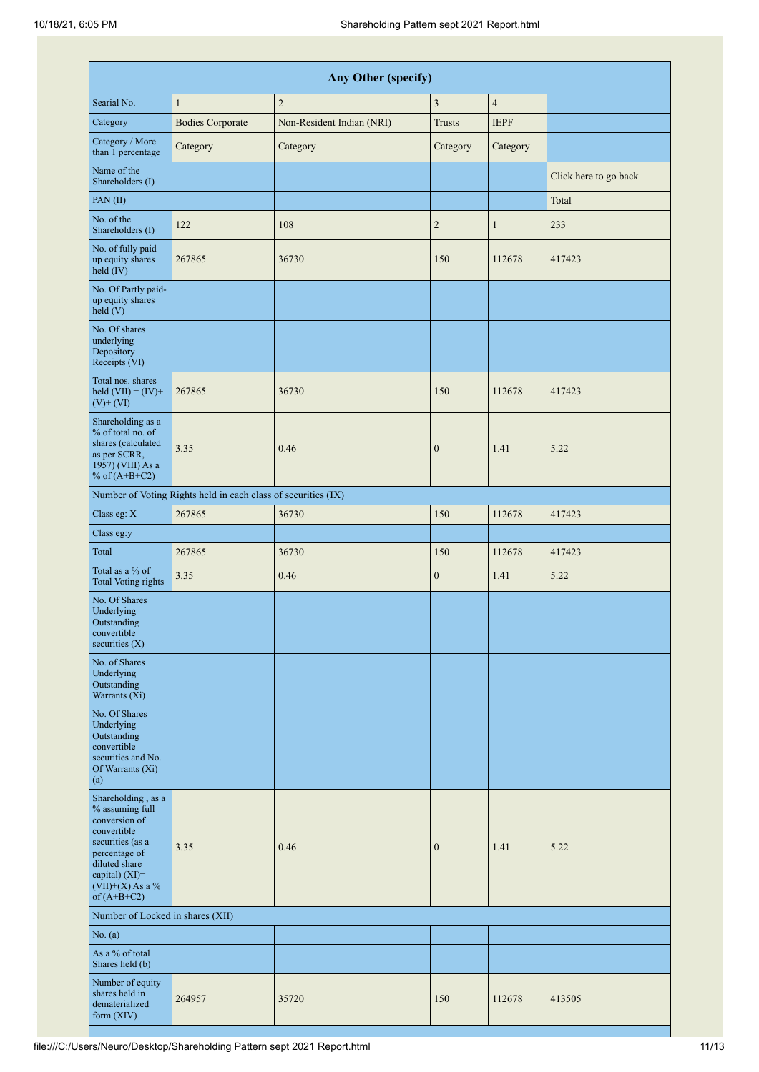|                                                                                                                                                                                         |                                                               | <b>Any Other (specify)</b> |                  |                |                       |
|-----------------------------------------------------------------------------------------------------------------------------------------------------------------------------------------|---------------------------------------------------------------|----------------------------|------------------|----------------|-----------------------|
| Searial No.                                                                                                                                                                             | $\mathbf{1}$                                                  | $\overline{c}$             | 3                | $\overline{4}$ |                       |
| Category                                                                                                                                                                                | <b>Bodies Corporate</b>                                       | Non-Resident Indian (NRI)  | <b>Trusts</b>    | <b>IEPF</b>    |                       |
| Category / More<br>than 1 percentage                                                                                                                                                    | Category                                                      | Category                   | Category         | Category       |                       |
| Name of the<br>Shareholders (I)                                                                                                                                                         |                                                               |                            |                  |                | Click here to go back |
| PAN(II)                                                                                                                                                                                 |                                                               |                            |                  |                | Total                 |
| No. of the<br>Shareholders (I)                                                                                                                                                          | 122                                                           | 108                        | $\mathbf{2}$     | $\mathbf{1}$   | 233                   |
| No. of fully paid<br>up equity shares<br>held $(IV)$                                                                                                                                    | 267865                                                        | 36730                      | 150              | 112678         | 417423                |
| No. Of Partly paid-<br>up equity shares<br>held (V)                                                                                                                                     |                                                               |                            |                  |                |                       |
| No. Of shares<br>underlying<br>Depository<br>Receipts (VI)                                                                                                                              |                                                               |                            |                  |                |                       |
| Total nos. shares<br>held $(VII) = (IV) +$<br>$(V)$ + $(VI)$                                                                                                                            | 267865                                                        | 36730                      | 150              | 112678         | 417423                |
| Shareholding as a<br>% of total no. of<br>shares (calculated<br>as per SCRR,<br>1957) (VIII) As a<br>% of $(A+B+C2)$                                                                    | 3.35                                                          | 0.46                       | $\boldsymbol{0}$ | 1.41           | 5.22                  |
|                                                                                                                                                                                         | Number of Voting Rights held in each class of securities (IX) |                            |                  |                |                       |
| Class eg: X                                                                                                                                                                             | 267865                                                        | 36730                      | 150              | 112678         | 417423                |
| Class eg:y                                                                                                                                                                              |                                                               |                            |                  |                |                       |
| Total                                                                                                                                                                                   | 267865                                                        | 36730                      | 150              | 112678         | 417423                |
| Total as a % of<br><b>Total Voting rights</b>                                                                                                                                           | 3.35                                                          | 0.46                       | $\boldsymbol{0}$ | 1.41           | 5.22                  |
| No. Of Shares<br>Underlying<br>Outstanding<br>convertible<br>securities $(X)$                                                                                                           |                                                               |                            |                  |                |                       |
| No. of Shares<br>Underlying<br>Outstanding<br>Warrants (Xi)                                                                                                                             |                                                               |                            |                  |                |                       |
| No. Of Shares<br>Underlying<br>Outstanding<br>convertible<br>securities and No.<br>Of Warrants (Xi)<br>(a)                                                                              |                                                               |                            |                  |                |                       |
| Shareholding, as a<br>% assuming full<br>conversion of<br>convertible<br>securities (as a<br>percentage of<br>diluted share<br>capital) $(XI)$ =<br>$(VII)+(X)$ As a %<br>of $(A+B+C2)$ | 3.35                                                          | 0.46                       | $\boldsymbol{0}$ | 1.41           | 5.22                  |
| Number of Locked in shares (XII)                                                                                                                                                        |                                                               |                            |                  |                |                       |
| No. (a)                                                                                                                                                                                 |                                                               |                            |                  |                |                       |
| As a % of total<br>Shares held (b)                                                                                                                                                      |                                                               |                            |                  |                |                       |
| Number of equity<br>shares held in<br>dematerialized<br>form $(XIV)$                                                                                                                    | 264957                                                        | 35720                      | 150              | 112678         | 413505                |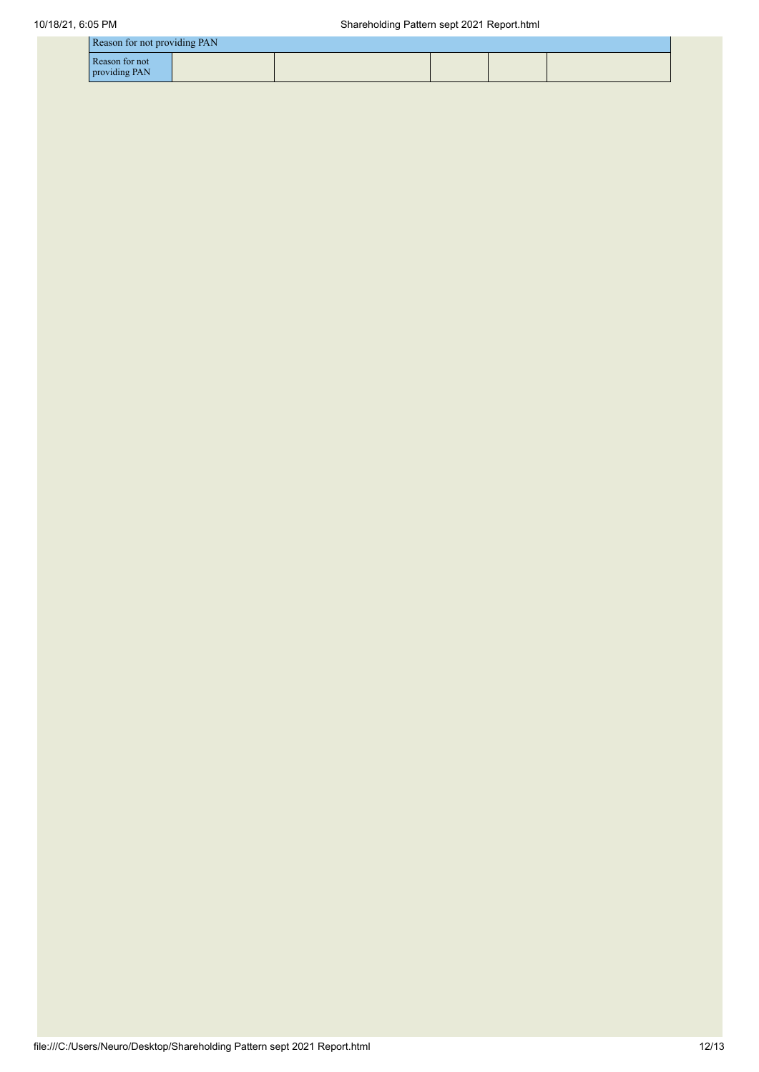|                                 | Reason for not providing PAN |  |  |  |  |  |  |  |
|---------------------------------|------------------------------|--|--|--|--|--|--|--|
| Reason for not<br>providing PAN |                              |  |  |  |  |  |  |  |